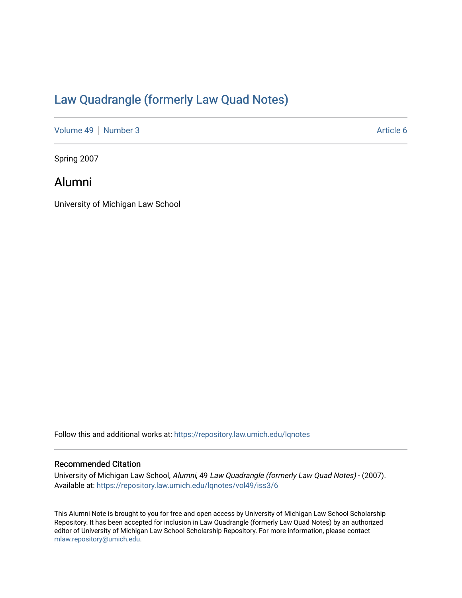# [Law Quadrangle \(formerly Law Quad Notes\)](https://repository.law.umich.edu/lqnotes)

[Volume 49](https://repository.law.umich.edu/lqnotes/vol49) [Number 3](https://repository.law.umich.edu/lqnotes/vol49/iss3) Article 6

Spring 2007

### Alumni

University of Michigan Law School

Follow this and additional works at: [https://repository.law.umich.edu/lqnotes](https://repository.law.umich.edu/lqnotes?utm_source=repository.law.umich.edu%2Flqnotes%2Fvol49%2Fiss3%2F6&utm_medium=PDF&utm_campaign=PDFCoverPages) 

#### Recommended Citation

University of Michigan Law School, Alumni, 49 Law Quadrangle (formerly Law Quad Notes) - (2007). Available at: [https://repository.law.umich.edu/lqnotes/vol49/iss3/6](https://repository.law.umich.edu/lqnotes/vol49/iss3/6?utm_source=repository.law.umich.edu%2Flqnotes%2Fvol49%2Fiss3%2F6&utm_medium=PDF&utm_campaign=PDFCoverPages) 

This Alumni Note is brought to you for free and open access by University of Michigan Law School Scholarship Repository. It has been accepted for inclusion in Law Quadrangle (formerly Law Quad Notes) by an authorized editor of University of Michigan Law School Scholarship Repository. For more information, please contact [mlaw.repository@umich.edu.](mailto:mlaw.repository@umich.edu)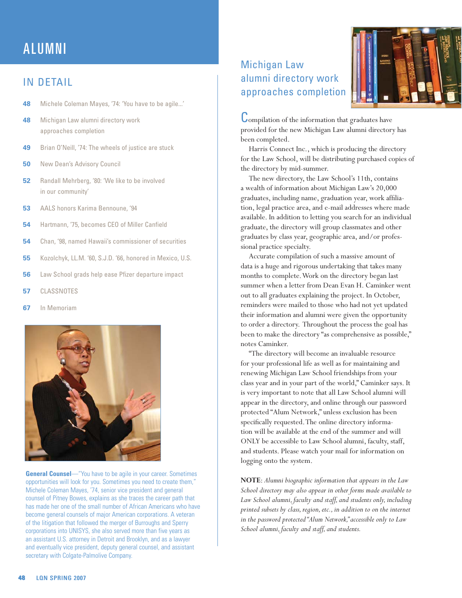# ALUMNI

#### IN DETAIL

- **48** Michele Coleman Mayes, '74: 'You have to be agile...'
- **48** Michigan Law alumni directory work approaches completion
- **49** Brian O'Neill, '74: The wheels of justice are stuck
- **50** New Dean's Advisory Council
- **52** Randall Mehrberg, '80: 'We like to be involved in our community'
- **53** AALS honors Karima Bennoune, '94
- **54** Hartmann, '75, becomes CEO of Miller Canfield
- **54** Chan, '98, named Hawaii's commissioner of securities
- **55** Kozolchyk, LL.M. '60, S.J.D. '66, honored in Mexico, U.S.
- **56** Law School grads help ease Pfizer departure impact
- **57** CLASSNOTES
- **67** In Memoriam



**General Counsel**—"You have to be agile in your career. Sometimes opportunities will look for you. Sometimes you need to create them," Michele Coleman Mayes, '74, senior vice president and general counsel of Pitney Bowes, explains as she traces the career path that has made her one of the small number of African Americans who have become general counsels of major American corporations. A veteran of the litigation that followed the merger of Burroughs and Sperry corporations into UNISYS, she also served more than five years as an assistant U.S. attorney in Detroit and Brooklyn, and as a lawyer and eventually vice president, deputy general counsel, and assistant secretary with Colgate-Palmolive Company.

### Michigan Law alumni directory work approaches completion



Compilation of the information that graduates have provided for the new Michigan Law alumni directory has been completed.

Harris Connect Inc., which is producing the directory for the Law School, will be distributing purchased copies of the directory by mid-summer.

The new directory, the Law School's 11th, contains a wealth of information about Michigan Law's 20,000 graduates, including name, graduation year, work affiliation, legal practice area, and e-mail addresses where made available. In addition to letting you search for an individual graduate, the directory will group classmates and other graduates by class year, geographic area, and/or professional practice specialty.

Accurate compilation of such a massive amount of data is a huge and rigorous undertaking that takes many months to complete. Work on the directory began last summer when a letter from Dean Evan H. Caminker went out to all graduates explaining the project. In October, reminders were mailed to those who had not yet updated their information and alumni were given the opportunity to order a directory. Throughout the process the goal has been to make the directory "as comprehensive as possible," notes Caminker.

"The directory will become an invaluable resource for your professional life as well as for maintaining and renewing Michigan Law School friendships from your class year and in your part of the world," Caminker says. It is very important to note that all Law School alumni will appear in the directory, and online through our password protected "Alum Network," unless exclusion has been specifically requested. The online directory information will be available at the end of the summer and will ONLY be accessible to Law School alumni, faculty, staff, and students. Please watch your mail for information on logging onto the system.

**NOTE**: *Alumni biographic information that appears in the Law School directory may also appear in other forms made available to Law School alumni, faculty and staff, and students only, including printed subsets by class, region, etc., in addition to on the internet in the password protected "Alum Network," accessible only to Law School alumni, faculty and staff, and students.*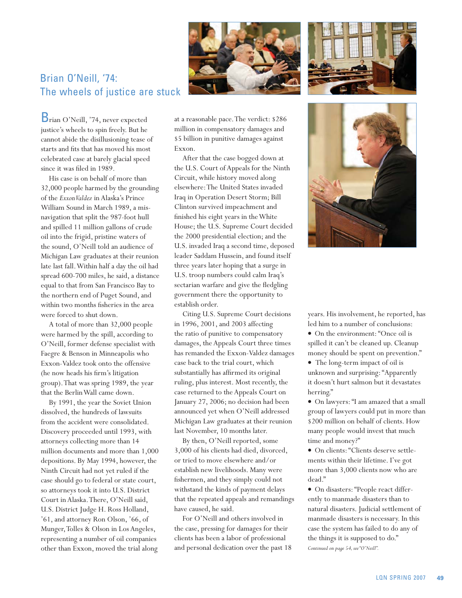



Brian O'Neill, '74: The wheels of justice are stuck

Brian O'Neill, '74, never expected justice's wheels to spin freely. But he cannot abide the disillusioning tease of starts and fits that has moved his most celebrated case at barely glacial speed since it was filed in 1989.

His case is on behalf of more than 32,000 people harmed by the grounding of the *Exxon Valdez* in Alaska's Prince William Sound in March 1989, a misnavigation that split the 987-foot hull and spilled 11 million gallons of crude oil into the frigid, pristine waters of the sound, O'Neill told an audience of Michigan Law graduates at their reunion late last fall. Within half a day the oil had spread 600-700 miles, he said, a distance equal to that from San Francisco Bay to the northern end of Puget Sound, and within two months fisheries in the area were forced to shut down.

A total of more than 32,000 people were harmed by the spill, according to O'Neill, former defense specialist with Faegre & Benson in Minneapolis who Exxon-Valdez took onto the offensive (he now heads his firm's litigation group). That was spring 1989, the year that the Berlin Wall came down.

By 1991, the year the Soviet Union dissolved, the hundreds of lawsuits from the accident were consolidated. Discovery proceeded until 1993, with attorneys collecting more than 14 million documents and more than 1,000 depositions. By May 1994, however, the Ninth Circuit had not yet ruled if the case should go to federal or state court, so attorneys took it into U.S. District Court in Alaska. There, O'Neill said, U.S. District Judge H. Ross Holland, '61, and attorney Ron Olson, '66, of Munger, Tolles & Olson in Los Angeles, representing a number of oil companies other than Exxon, moved the trial along at a reasonable pace. The verdict: \$286 million in compensatory damages and \$5 billion in punitive damages against Exxon.

After that the case bogged down at the U.S. Court of Appeals for the Ninth Circuit, while history moved along elsewhere: The United States invaded Iraq in Operation Desert Storm; Bill Clinton survived impeachment and finished his eight years in the White House; the U.S. Supreme Court decided the 2000 presidential election; and the U.S. invaded Iraq a second time, deposed leader Saddam Hussein, and found itself three years later hoping that a surge in U.S. troop numbers could calm Iraq's sectarian warfare and give the fledgling government there the opportunity to establish order.

Citing U.S. Supreme Court decisions in 1996, 2001, and 2003 affecting the ratio of punitive to compensatory damages, the Appeals Court three times has remanded the Exxon-Valdez damages case back to the trial court, which substantially has affirmed its original ruling, plus interest. Most recently, the case returned to the Appeals Court on January 27, 2006; no decision had been announced yet when O'Neill addressed Michigan Law graduates at their reunion last November, 10 months later.

By then, O'Neill reported, some 3,000 of his clients had died, divorced, or tried to move elsewhere and/or establish new livelihoods. Many were fishermen, and they simply could not withstand the kinds of payment delays that the repeated appeals and remandings have caused, he said.

For O'Neill and others involved in the case, pressing for damages for their clients has been a labor of professional and personal dedication over the past 18



years. His involvement, he reported, has led him to a number of conclusions:

• On the environment: "Once oil is spilled it can't be cleaned up. Cleanup money should be spent on prevention."

• The long-term impact of oil is unknown and surprising: "Apparently it doesn't hurt salmon but it devastates herring."

vOn lawyers: "I am amazed that a small group of lawyers could put in more than \$200 million on behalf of clients. How many people would invest that much time and money?"

• On clients: "Clients deserve settlements within their lifetime. I've got more than 3,000 clients now who are dead."

*Continued on page 54, see "O'Neill".* • On disasters: "People react differently to manmade disasters than to natural disasters. Judicial settlement of manmade disasters is necessary. In this case the system has failed to do any of the things it is supposed to do."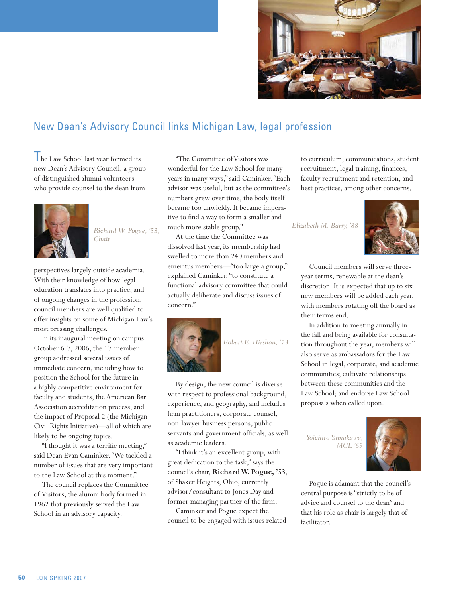

### New Dean's Advisory Council links Michigan Law, legal profession

I he Law School last year formed its new Dean's Advisory Council, a group of distinguished alumni volunteers who provide counsel to the dean from



*Richard W. Pogue, '53, Chair*

perspectives largely outside academia. With their knowledge of how legal education translates into practice, and of ongoing changes in the profession, council members are well qualified to offer insights on some of Michigan Law's most pressing challenges.

In its inaugural meeting on campus October 6-7, 2006, the 17-member group addressed several issues of immediate concern, including how to position the School for the future in a highly competitive environment for faculty and students, the American Bar Association accreditation process, and the impact of Proposal 2 (the Michigan Civil Rights Initiative)—all of which are likely to be ongoing topics.

"I thought it was a terrific meeting," said Dean Evan Caminker. "We tackled a number of issues that are very important to the Law School at this moment."

The council replaces the Committee of Visitors, the alumni body formed in 1962 that previously served the Law School in an advisory capacity.

"The Committee of Visitors was wonderful for the Law School for many years in many ways," said Caminker. "Each advisor was useful, but as the committee's numbers grew over time, the body itself became too unwieldy. It became imperative to find a way to form a smaller and much more stable group."

At the time the Committee was dissolved last year, its membership had swelled to more than 240 members and emeritus members—"too large a group," explained Caminker, "to constitute a functional advisory committee that could actually deliberate and discuss issues of concern."



*Robert E. Hirshon, '73*

By design, the new council is diverse with respect to professional background, experience, and geography, and includes firm practitioners, corporate counsel, non-lawyer business persons, public servants and government officials, as well as academic leaders.

"I think it's an excellent group, with great dedication to the task," says the council's chair, **Richard W. Pogue, '53**, of Shaker Heights, Ohio, currently advisor/consultant to Jones Day and former managing partner of the firm.

Caminker and Pogue expect the council to be engaged with issues related

to curriculum, communications, student recruitment, legal training, finances, faculty recruitment and retention, and best practices, among other concerns.

*Elizabeth M. Barry, '88*



Council members will serve threeyear terms, renewable at the dean's discretion. It is expected that up to six new members will be added each year, with members rotating off the board as their terms end.

In addition to meeting annually in the fall and being available for consultation throughout the year, members will also serve as ambassadors for the Law School in legal, corporate, and academic communities; cultivate relationships between these communities and the Law School; and endorse Law School proposals when called upon.

*Yoichiro Yamakawa, MCL '69*



Pogue is adamant that the council's central purpose is "strictly to be of advice and counsel to the dean" and that his role as chair is largely that of facilitator.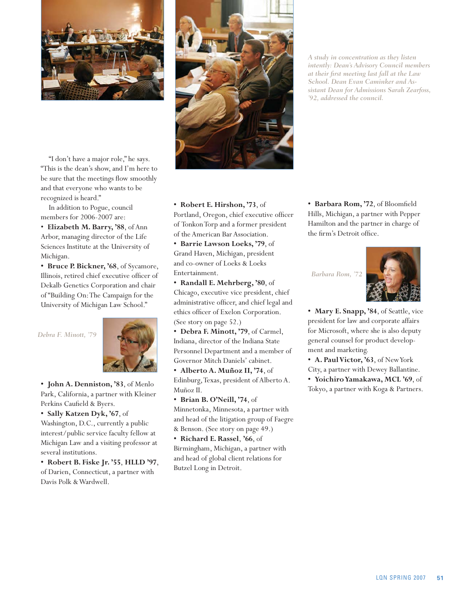

"I don't have a major role," he says. "This is the dean's show, and I'm here to be sure that the meetings flow smoothly and that everyone who wants to be recognized is heard."

In addition to Pogue, council members for 2006-2007 are:

• **Elizabeth M. Barry, '88**, of Ann Arbor, managing director of the Life Sciences Institute at the University of Michigan.

**• Bruce P. Bickner, '68**, of Sycamore, Illinois, retired chief executive officer of Dekalb Genetics Corporation and chair of "Building On: The Campaign for the University of Michigan Law School."

*Debra F. Minott, '79*



**• John A. Denniston, '83**, of Menlo Park, California, a partner with Kleiner Perkins Caufield & Byers.

**• Sally Katzen Dyk, '67**, of Washington, D.C., currently a public interest/public service faculty fellow at Michigan Law and a visiting professor at several institutions.

**• Robert B. Fiske Jr. '55**, **HLLD '97**, of Darien, Connecticut, a partner with Davis Polk & Wardwell.



*A study in concentration as they listen intently: Dean's Advisory Council members at their first meeting last fall at the Law School. Dean Evan Caminker and Assistant Dean for Admissions Sarah Zearfoss, '92, addressed the council.*

**• Robert E. Hirshon, '73**, of Portland, Oregon, chief executive officer of Tonkon Torp and a former president of the American Bar Association.

**• Barrie Lawson Loeks, '79**, of Grand Haven, Michigan, president and co-owner of Loeks & Loeks Entertainment.

**• Randall E. Mehrberg, '80**, of Chicago, executive vice president, chief administrative officer, and chief legal and ethics officer of Exelon Corporation. (See story on page 52.)

**• Debra F. Minott, '79**, of Carmel, Indiana, director of the Indiana State Personnel Department and a member of Governor Mitch Daniels' cabinet.

**• Alberto A. Muñoz II, '74**, of Edinburg, Texas, president of Alberto A. Muñoz II.

**• Brian B. O'Neill, '74**, of Minnetonka, Minnesota, a partner with and head of the litigation group of Faegre & Benson. (See story on page 49.)

**• Richard E. Rassel**, **'66**, of Birmingham, Michigan, a partner with and head of global client relations for Butzel Long in Detroit.

**• Barbara Rom, '72**, of Bloomfield Hills, Michigan, a partner with Pepper Hamilton and the partner in charge of the firm's Detroit office.

*Barbara Rom, '72*



**• Mary E. Snapp, '84**, of Seattle, vice president for law and corporate affairs for Microsoft, where she is also deputy general counsel for product development and marketing.

**• A. Paul Victor, '63**, of New York

City, a partner with Dewey Ballantine. **• Yoichiro Yamakawa, MCL '69**, of Tokyo, a partner with Koga & Partners.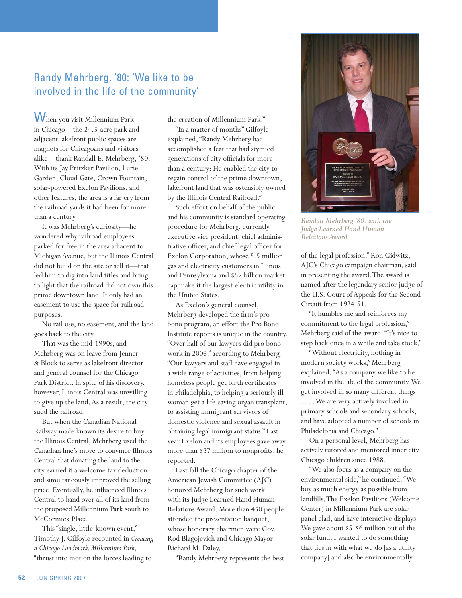### Randy Mehrberg, '80: 'We like to be involved in the life of the community'

When you visit Millennium Park in Chicago—the 24.5-acre park and adjacent lakefront public spaces are magnets for Chicagoans and visitors alike—thank Randall E. Mehrberg, '80. With its Jay Pritzker Pavilion, Lurie Garden, Cloud Gate, Crown Fountain, solar-powered Exelon Pavilions, and other features, the area is a far cry from the railroad yards it had been for more than a century.

It was Mehrberg's curiosity—he wondered why railroad employees parked for free in the area adjacent to Michigan Avenue, but the Illinois Central did not build on the site or sell it—that led him to dig into land titles and bring to light that the railroad did not own this prime downtown land. It only had an easement to use the space for railroad purposes.

No rail use, no easement, and the land goes back to the city.

That was the mid-1990s, and Mehrberg was on leave from Jenner & Block to serve as lakefront director and general counsel for the Chicago Park District. In spite of his discovery, however, Illinois Central was unwilling to give up the land. As a result, the city sued the railroad.

But when the Canadian National Railway made known its desire to buy the Illinois Central, Mehrberg used the Canadian line's move to convince Illinois Central that donating the land to the city earned it a welcome tax deduction and simultaneously improved the selling price. Eventually, he influenced Illinois Central to hand over all of its land from the proposed Millennium Park south to McCormick Place.

This "single, little-known event," Timothy J. Gilfoyle recounted in *Creating a Chicago Landmark: Millennium Park*, "thrust into motion the forces leading to

the creation of Millennium Park."

"In a matter of months" Gilfoyle explained, "Randy Mehrberg had accomplished a feat that had stymied generations of city officials for more than a century: He enabled the city to regain control of the prime downtown, lakefront land that was ostensibly owned by the Illinois Central Railroad."

Such effort on behalf of the public and his community is standard operating procedure for Mehrberg, currently executive vice president, chief administrative officer, and chief legal officer for Exelon Corporation, whose 5.5 million gas and electricity customers in Illinois and Pennsylvania and \$52 billion market cap make it the largest electric utility in the United States.

As Exelon's general counsel, Mehrberg developed the firm's pro bono program, an effort the Pro Bono Institute reports is unique in the country. "Over half of our lawyers did pro bono work in 2006," according to Mehrberg. "Our lawyers and staff have engaged in a wide range of activities, from helping homeless people get birth certificates in Philadelphia, to helping a seriously ill woman get a life-saving organ transplant, to assisting immigrant survivors of domestic violence and sexual assault in obtaining legal immigrant status." Last year Exelon and its employees gave away more than \$37 million to nonprofits, he reported.

Last fall the Chicago chapter of the American Jewish Committee (AJC) honored Mehrberg for such work with its Judge Learned Hand Human Relations Award. More than 450 people attended the presentation banquet, whose honorary chairmen were Gov. Rod Blagojevich and Chicago Mayor Richard M. Daley.

"Randy Mehrberg represents the best



*Randall Mehrberg '80, with the Judge Learned Hand Human Relations Award.*

of the legal profession," Ron Gidwitz, AJC's Chicago campaign chairman, said in presenting the award. The award is named after the legendary senior judge of the U.S. Court of Appeals for the Second Circuit from 1924-51.

"It humbles me and reinforces my commitment to the legal profession," Mehrberg said of the award. "It's nice to step back once in a while and take stock."

"Without electricity, nothing in modern society works," Mehrberg explained. "As a company we like to be involved in the life of the community. We get involved in so many different things . . . . We are very actively involved in primary schools and secondary schools, and have adopted a number of schools in Philadelphia and Chicago."

On a personal level, Mehrberg has actively tutored and mentored inner city Chicago children since 1988.

"We also focus as a company on the environmental side," he continued. "We buy as much energy as possible from landfills. The Exelon Pavilions (Welcome Center) in Millennium Park are solar panel clad, and have interactive displays. We gave about \$5-\$6 million out of the solar fund. I wanted to do something that ties in with what we do [as a utility company] and also be environmentally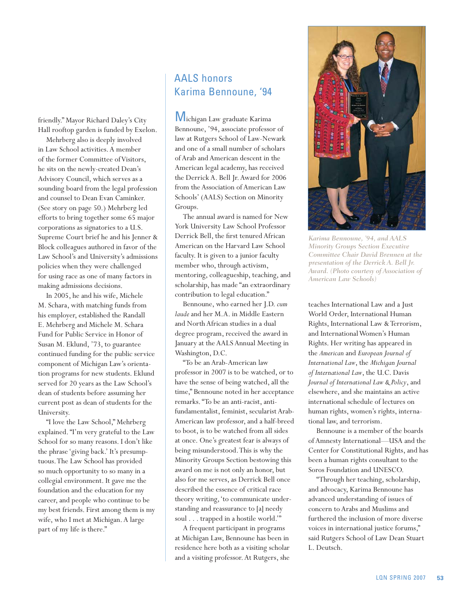friendly." Mayor Richard Daley's City Hall rooftop garden is funded by Exelon.

Mehrberg also is deeply involved in Law School activities. A member of the former Committee of Visitors, he sits on the newly-created Dean's Advisory Council, which serves as a sounding board from the legal profession and counsel to Dean Evan Caminker. (See story on page 50.) Mehrberg led efforts to bring together some 65 major corporations as signatories to a U.S. Supreme Court brief he and his Jenner & Block colleagues authored in favor of the Law School's and University's admissions policies when they were challenged for using race as one of many factors in making admissions decisions.

In 2005, he and his wife, Michele M. Schara, with matching funds from his employer, established the Randall E. Mehrberg and Michele M. Schara Fund for Public Service in Honor of Susan M. Eklund, '73, to guarantee continued funding for the public service component of Michigan Law's orientation programs for new students. Eklund served for 20 years as the Law School's dean of students before assuming her current post as dean of students for the University.

"I love the Law School," Mehrberg explained. "I'm very grateful to the Law School for so many reasons. I don't like the phrase 'giving back.' It's presumptuous. The Law School has provided so much opportunity to so many in a collegial environment. It gave me the foundation and the education for my career, and people who continue to be my best friends. First among them is my wife, who I met at Michigan. A large part of my life is there."

#### AALS honors Karima Bennoune, '94

Michigan Law graduate Karima Bennoune, '94, associate professor of law at Rutgers School of Law-Newark and one of a small number of scholars of Arab and American descent in the American legal academy, has received the Derrick A. Bell Jr. Award for 2006 from the Association of American Law Schools' (AALS) Section on Minority Groups.

The annual award is named for New York University Law School Professor Derrick Bell, the first tenured African American on the Harvard Law School faculty. It is given to a junior faculty member who, through activism, mentoring, colleagueship, teaching, and scholarship, has made "an extraordinary contribution to legal education."

Bennoune, who earned her J.D. *cum laude* and her M.A. in Middle Eastern and North African studies in a dual degree program, received the award in January at the AALS Annual Meeting in Washington, D.C.

"To be an Arab-American law professor in 2007 is to be watched, or to have the sense of being watched, all the time," Bennoune noted in her acceptance remarks. "To be an anti-racist, antifundamentalist, feminist, secularist Arab-American law professor, and a half-breed to boot, is to be watched from all sides at once. One's greatest fear is always of being misunderstood. This is why the Minority Groups Section bestowing this award on me is not only an honor, but also for me serves, as Derrick Bell once described the essence of critical race theory writing, 'to communicate understanding and reassurance to [a] needy soul . . . trapped in a hostile world.'"

A frequent participant in programs at Michigan Law, Bennoune has been in residence here both as a visiting scholar and a visiting professor. At Rutgers, she



*Karima Bennoune, '94, and AALS Minority Groups Section Executive Committee Chair David Brennen at the presentation of the Derrick A. Bell Jr. Award. (Photo courtesy of Association of American Law Schools)*

teaches International Law and a Just World Order, International Human Rights, International Law & Terrorism, and International Women's Human Rights. Her writing has appeared in the *American* and *European Journal of International Law*, the *Michigan Journal of International Law*, the U.C. Davis *Journal of International Law & Policy*, and elsewhere, and she maintains an active international schedule of lectures on human rights, women's rights, international law, and terrorism.

Bennoune is a member of the boards of Amnesty International—USA and the Center for Constitutional Rights, and has been a human rights consultant to the Soros Foundation and UNESCO.

"Through her teaching, scholarship, and advocacy, Karima Bennoune has advanced understanding of issues of concern to Arabs and Muslims and furthered the inclusion of more diverse voices in international justice forums," said Rutgers School of Law Dean Stuart L. Deutsch.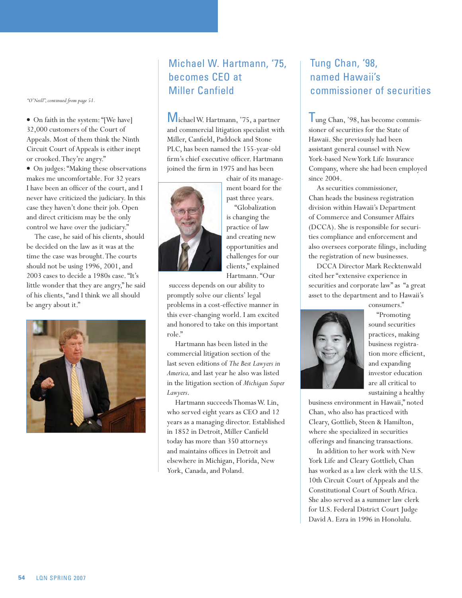*"O'Neill", continued from page 51.*

• On faith in the system: "[We have] 32,000 customers of the Court of Appeals. Most of them think the Ninth Circuit Court of Appeals is either inept or crooked. They're angry."

• On judges: "Making these observations makes me uncomfortable. For 32 years I have been an officer of the court, and I never have criticized the judiciary. In this case they haven't done their job. Open and direct criticism may be the only control we have over the judiciary."

The case, he said of his clients, should be decided on the law as it was at the time the case was brought. The courts should not be using 1996, 2001, and 2003 cases to decide a 1980s case. "It's little wonder that they are angry," he said of his clients, "and I think we all should be angry about it."



### Michael W. Hartmann, '75, becomes CEO at Miller Canfield

Michael W. Hartmann, '75, a partner and commercial litigation specialist with Miller, Canfield, Paddock and Stone PLC, has been named the 155-year-old firm's chief executive officer. Hartmann joined the firm in 1975 and has been



ment board for the past three years. "Globalization is changing the practice of law and creating new opportunities and challenges for our clients," explained Hartmann. "Our

chair of its manage-

 success depends on our ability to promptly solve our clients' legal problems in a cost-effective manner in this ever-changing world. I am excited and honored to take on this important role."

Hartmann has been listed in the commercial litigation section of the last seven editions of *The Best Lawyers in America,* and last year he also was listed in the litigation section of *Michigan Super Lawyers*.

Hartmann succeeds Thomas W. Lin, who served eight years as CEO and 12 years as a managing director. Established in 1852 in Detroit, Miller Canfield today has more than 350 attorneys and maintains offices in Detroit and elsewhere in Michigan, Florida, New York, Canada, and Poland.

### Tung Chan, '98, named Hawaii's commissioner of securities

I ung Chan, '98, has become commissioner of securities for the State of Hawaii. She previously had been assistant general counsel with New York-based New York Life Insurance Company, where she had been employed since 2004.

As securities commissioner, Chan heads the business registration division within Hawaii's Department of Commerce and Consumer Affairs (DCCA). She is responsible for securities compliance and enforcement and also oversees corporate filings, including the registration of new businesses.

DCCA Director Mark Recktenwald cited her "extensive experience in securities and corporate law" as "a great asset to the department and to Hawaii's

consumers."



"Promoting sound securities practices, making business registration more efficient, and expanding investor education are all critical to sustaining a healthy

business environment in Hawaii," noted Chan, who also has practiced with Cleary, Gottlieb, Steen & Hamilton, where she specialized in securities offerings and financing transactions.

In addition to her work with New York Life and Cleary Gottlieb, Chan has worked as a law clerk with the U.S. 10th Circuit Court of Appeals and the Constitutional Court of South Africa. She also served as a summer law clerk for U.S. Federal District Court Judge David A. Ezra in 1996 in Honolulu.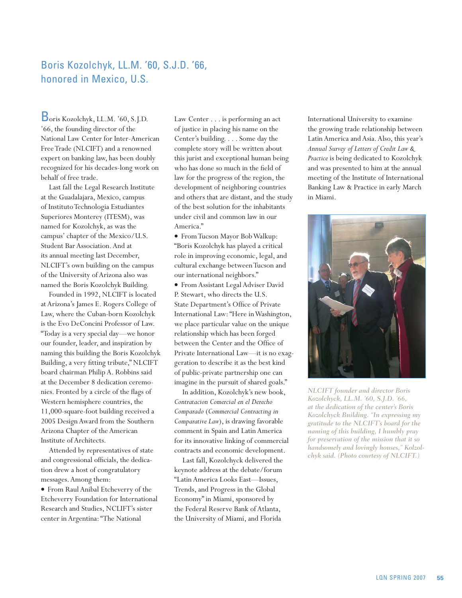### Boris Kozolchyk, LL.M. '60, S.J.D. '66, honored in Mexico, U.S.

Boris Kozolchyk, LL.M. '60, S.J.D. '66, the founding director of the National Law Center for Inter-American Free Trade (NLCIFT) and a renowned expert on banking law, has been doubly recognized for his decades-long work on behalf of free trade.

Last fall the Legal Research Institute at the Guadalajara, Mexico, campus of Instituto Technologia Estudiantes Superiores Monterey (ITESM), was named for Kozolchyk, as was the campus' chapter of the Mexico/U.S. Student Bar Association. And at its annual meeting last December, NLCIFT's own building on the campus of the University of Arizona also was named the Boris Kozolchyk Building.

Founded in 1992, NLCIFT is located at Arizona's James E. Rogers College of Law, where the Cuban-born Kozolchyk is the Evo DeConcini Professor of Law. "Today is a very special day—we honor our founder, leader, and inspiration by naming this building the Boris Kozolchyk Building, a very fitting tribute," NLCIFT board chairman Philip A. Robbins said at the December 8 dedication ceremonies. Fronted by a circle of the flags of Western hemisphere countries, the 11,000-square-foot building received a 2005 Design Award from the Southern Arizona Chapter of the American Institute of Architects.

Attended by representatives of state and congressional officials, the dedication drew a host of congratulatory messages. Among them:

v From Raul Anibal Etcheverry of the Etcheverry Foundation for International Research and Studies, NCLIFT's sister center in Argentina: "The National

Law Center . . . is performing an act of justice in placing his name on the Center's building. . . . Some day the complete story will be written about this jurist and exceptional human being who has done so much in the field of law for the progress of the region, the development of neighboring countries and others that are distant, and the study of the best solution for the inhabitants under civil and common law in our America."

v From Tucson Mayor Bob Walkup: "Boris Kozolchyk has played a critical role in improving economic, legal, and cultural exchange between Tucson and our international neighbors."

v From Assistant Legal Adviser David P. Stewart, who directs the U.S. State Department's Office of Private International Law: "Here in Washington, we place particular value on the unique relationship which has been forged between the Center and the Office of Private International Law—it is no exaggeration to describe it as the best kind of public-private partnership one can imagine in the pursuit of shared goals."

In addition, Kozolchyk's new book, *Contratacion Comercial en el Derecho Comparado* (*Commercial Contracting in Comparative Law*), is drawing favorable comment in Spain and Latin America for its innovative linking of commercial contracts and economic development.

Last fall, Kozolchyck delivered the keynote address at the debate/forum "Latin America Looks East—Issues, Trends, and Progress in the Global Economy" in Miami, sponsored by the Federal Reserve Bank of Atlanta, the University of Miami, and Florida

International University to examine the growing trade relationship between Latin America and Asia. Also, this year's *Annual Survey of Letters of Credit Law & Practice* is being dedicated to Kozolchyk and was presented to him at the annual meeting of the Institute of International Banking Law & Practice in early March in Miami.



*NLCIFT founder and director Boris Kozolchyck, LL.M. '60, S.J.D. '66, at the dedication of the center's Boris Kozolchyck Building. "In expressing my gratitude to the NLCIFT's board for the naming of this building, I humbly pray for preservation of the mission that it so handsomely and lovingly houses," Kolzolchyk said. (Photo courtesy of NLCIFT.)*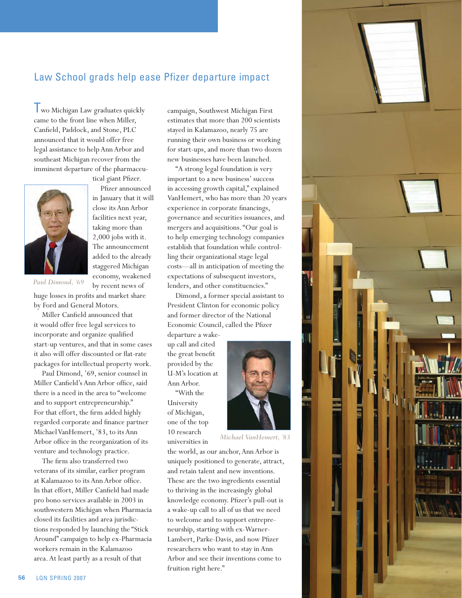### Law School grads help ease Pfizer departure impact

**I** wo Michigan Law graduates quickly came to the front line when Miller, Canfield, Paddock, and Stone, PLC announced that it would offer free legal assistance to help Ann Arbor and southeast Michigan recover from the imminent departure of the pharmaceu-



tical giant Pfizer. Pfizer announced

in January that it will close its Ann Arbor facilities next year, taking more than 2,000 jobs with it. The announcement added to the already staggered Michigan economy, weakened by recent news of

*Paul Dimond, '69* 

huge losses in profits and market share by Ford and General Motors.

Miller Canfield announced that it would offer free legal services to incorporate and organize qualified start-up ventures, and that in some cases it also will offer discounted or flat-rate packages for intellectual property work.

Paul Dimond, '69, senior counsel in Miller Canfield's Ann Arbor office, said there is a need in the area to "welcome and to support entrepreneurship." For that effort, the firm added highly regarded corporate and finance partner Michael VanHemert, '83, to its Ann Arbor office in the reorganization of its venture and technology practice.

The firm also transferred two veterans of its similar, earlier program at Kalamazoo to its Ann Arbor office. In that effort, Miller Canfield had made pro bono services available in 2003 in southwestern Michigan when Pharmacia closed its facilities and area jurisdictions responded by launching the "Stick Around" campaign to help ex-Pharmacia workers remain in the Kalamazoo area. At least partly as a result of that

campaign, Southwest Michigan First estimates that more than 200 scientists stayed in Kalamazoo, nearly 75 are running their own business or working for start-ups, and more than two dozen new businesses have been launched.

"A strong legal foundation is very important to a new business' success in accessing growth capital," explained VanHemert, who has more than 20 years experience in corporate financings, governance and securities issuances, and mergers and acquisitions. "Our goal is to help emerging technology companies establish that foundation while controlling their organizational stage legal costs—all in anticipation of meeting the expectations of subsequent investors, lenders, and other constituencies."

Dimond, a former special assistant to President Clinton for economic policy and former director of the National Economic Council, called the Pfizer

departure a wakeup call and cited the great benefit provided by the U-M's location at Ann Arbor.

"With the University of Michigan, one of the top 10 research universities in



*Michael VanHemert, '83* 

the world, as our anchor, Ann Arbor is uniquely positioned to generate, attract, and retain talent and new inventions. These are the two ingredients essential to thriving in the increasingly global knowledge economy. Pfizer's pull-out is a wake-up call to all of us that we need to welcome and to support entrepreneurship, starting with ex-Warner-Lambert, Parke-Davis, and now Pfizer researchers who want to stay in Ann Arbor and see their inventions come to fruition right here."

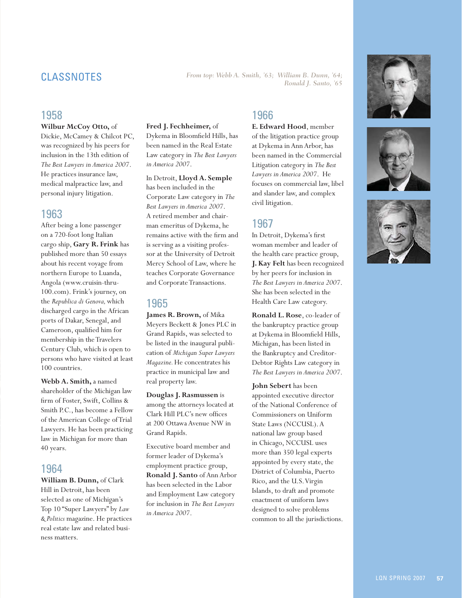# *From top: Webb A. Smith, '63; William B. Dunn, '64; Ronald J. Santo, '65* CLASSNOTES

#### 1958

**Wilbur McCoy Otto,** of

Dickie, McCamey & Chilcot PC, was recognized by his peers for inclusion in the 13th edition of *The Best Lawyers in America 2007*. He practices insurance law, medical malpractice law, and personal injury litigation.

#### 1963

After being a lone passenger on a 720-foot long Italian cargo ship, **Gary R. Frink** has published more than 50 essays about his recent voyage from northern Europe to Luanda, Angola (www.cruisin-thru-100.com). Frink's journey, on the *Republica di Genova,* which discharged cargo in the African ports of Dakar, Senegal, and Cameroon, qualified him for membership in the Travelers Century Club, which is open to persons who have visited at least 100 countries.

**Webb A. Smith,** a named shareholder of the Michigan law firm of Foster, Swift, Collins & Smith P.C., has become a Fellow of the American College of Trial Lawyers. He has been practicing law in Michigan for more than 40 years.

#### 1964

**William B. Dunn,** of Clark Hill in Detroit, has been selected as one of Michigan's Top 10 "Super Lawyers" by *Law & Politics* magazine. He practices real estate law and related business matters.

#### **Fred J. Fechheimer,** of

Dykema in Bloomfield Hills, has been named in the Real Estate Law category in *The Best Lawyers in America 2007*.

In Detroit, **Lloyd A. Semple**  has been included in the Corporate Law category in *The Best Lawyers in America 2007*. A retired member and chairman emeritus of Dykema, he remains active with the firm and is serving as a visiting professor at the University of Detroit Mercy School of Law, where he teaches Corporate Governance and Corporate Transactions.

#### 1965

**James R. Brown,** of Mika Meyers Beckett & Jones PLC in Grand Rapids, was selected to be listed in the inaugural publication of *Michigan Super Lawyers Magazine.* He concentrates his practice in municipal law and real property law.

**Douglas J. Rasmussen** is among the attorneys located at Clark Hill PLC's new offices at 200 Ottawa Avenue NW in Grand Rapids.

Executive board member and former leader of Dykema's employment practice group, **Ronald J. Santo** of Ann Arbor has been selected in the Labor and Employment Law category for inclusion in *The Best Lawyers in America 2007*.

#### 1966

**E. Edward Hood**, member of the litigation practice group at Dykema in Ann Arbor, has been named in the Commercial Litigation category in *The Best Lawyers in America 2007*. He focuses on commercial law, libel and slander law, and complex civil litigation.

#### 1967

In Detroit, Dykema's first woman member and leader of the health care practice group, **J. Kay Felt** has been recognized by her peers for inclusion in *The Best Lawyers in America 2007*. She has been selected in the Health Care Law category.

**Ronald L. Rose**, co-leader of the bankruptcy practice group at Dykema in Bloomfield Hills, Michigan, has been listed in the Bankruptcy and Creditor-Debtor Rights Law category in *The Best Lawyers in America 2007*.

**John Sebert** has been appointed executive director of the National Conference of Commissioners on Uniform State Laws (NCCUSL). A national law group based in Chicago, NCCUSL uses more than 350 legal experts appointed by every state, the District of Columbia, Puerto Rico, and the U.S. Virgin Islands, to draft and promote enactment of uniform laws designed to solve problems common to all the jurisdictions.





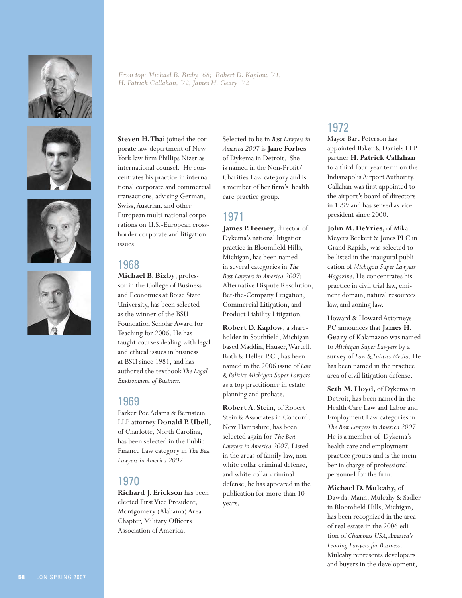







*From top: Michael B. Bixby, '68; Robert D. Kaplow, '71; H. Patrick Callahan, '72; James H. Geary, '72* 

**Steven H. Thai** joined the corporate law department of New York law firm Phillips Nizer as international counsel. He concentrates his practice in international corporate and commercial transactions, advising German, Swiss, Austrian, and other European multi-national corporations on U.S.-European crossborder corporate and litigation issues.

#### 1968

**Michael B. Bixby**, professor in the College of Business and Economics at Boise State University, has been selected as the winner of the BSU Foundation Scholar Award for Teaching for 2006. He has taught courses dealing with legal and ethical issues in business at BSU since 1981, and has authored the textbook *The Legal Environment of Business.*

### 1969

Parker Poe Adams & Bernstein LLP attorney **Donald P. Ubell**, of Charlotte, North Carolina, has been selected in the Public Finance Law category in *The Best Lawyers in America 2007*.

### 1970

**Richard J. Erickson** has been elected First Vice President, Montgomery (Alabama) Area Chapter, Military Officers Association of America.

Selected to be in *Best Lawyers in America 2007* is **Jane Forbes** of Dykema in Detroit. She is named in the Non-Profit/ Charities Law category and is a member of her firm's health care practice group.

### 1971

**James P. Feeney**, director of Dykema's national litigation practice in Bloomfield Hills, Michigan, has been named in several categories in *The Best Lawyers in America 2007*: Alternative Dispute Resolution, Bet-the-Company Litigation, Commercial Litigation, and Product Liability Litigation.

**Robert D. Kaplow**, a shareholder in Southfield, Michiganbased Maddin, Hauser, Wartell, Roth & Heller P.C., has been named in the 2006 issue of *Law & Politics Michigan Super Lawyers*  as a top practitioner in estate planning and probate.

**Robert A. Stein,** of Robert Stein & Associates in Concord, New Hampshire, has been selected again for *The Best Lawyers in America 2007*. Listed in the areas of family law, nonwhite collar criminal defense, and white collar criminal defense, he has appeared in the publication for more than 10 years.

### 1972

Mayor Bart Peterson has appointed Baker & Daniels LLP partner **H. Patrick Callahan**  to a third four-year term on the Indianapolis Airport Authority. Callahan was first appointed to the airport's board of directors in 1999 and has served as vice president since 2000.

**John M. DeVries,** of Mika Meyers Beckett & Jones PLC in Grand Rapids, was selected to be listed in the inaugural publication of *Michigan Super Lawyers Magazine*. He concentrates his practice in civil trial law, eminent domain, natural resources law, and zoning law.

Howard & Howard Attorneys PC announces that **James H. Geary** of Kalamazoo was named to *Michigan Super Lawyers* by a survey of *Law & Politics Media*. He has been named in the practice area of civil litigation defense.

**Seth M. Lloyd,** of Dykema in Detroit, has been named in the Health Care Law and Labor and Employment Law categories in *The Best Lawyers in America 2007*. He is a member of Dykema's health care and employment practice groups and is the member in charge of professional personnel for the firm.

**Michael D. Mulcahy,** of Dawda, Mann, Mulcahy & Sadler in Bloomfield Hills, Michigan, has been recognized in the area of real estate in the 2006 edition of *Chambers USA, America's Leading Lawyers for Business*. Mulcahy represents developers and buyers in the development,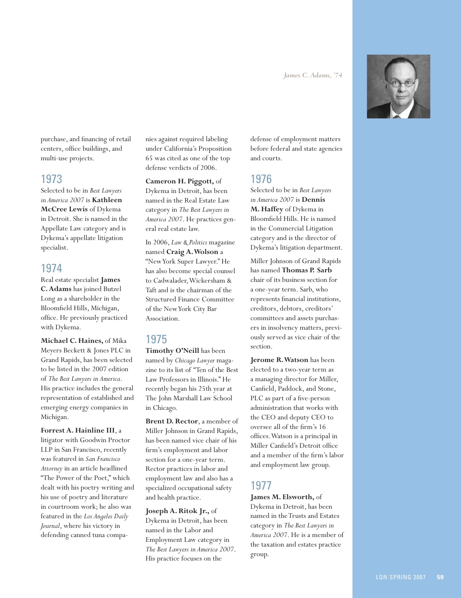*James C. Adams, '74*



purchase, and financing of retail centers, office buildings, and multi-use projects.

#### 1973

Selected to be in *Best Lawyers in America 2007* is **Kathleen McCree Lewis** of Dykema in Detroit. She is named in the Appellate Law category and is Dykema's appellate litigation specialist.

#### 1974

Real estate specialist **James C. Adams** has joined Butzel Long as a shareholder in the Bloomfield Hills, Michigan, office. He previously practiced with Dykema.

**Michael C. Haines,** of Mika Meyers Beckett & Jones PLC in Grand Rapids, has been selected to be listed in the 2007 edition of *The Best Lawyers in America*. His practice includes the general representation of established and emerging energy companies in Michigan.

**Forrest A. Hainline III**, a litigator with Goodwin Proctor LLP in San Francisco, recently was featured in *San Francisco Attorney* in an article headlined "The Power of the Poet," which dealt with his poetry writing and his use of poetry and literature in courtroom work; he also was featured in the *Los Angeles Daily Journal*, where his victory in defending canned tuna companies against required labeling under California's Proposition 65 was cited as one of the top defense verdicts of 2006.

**Cameron H. Piggott,** of Dykema in Detroit, has been named in the Real Estate Law category in *The Best Lawyers in America 2007*. He practices general real estate law.

In 2006, *Law & Politics* magazine named **Craig A. Wolson** a "New York Super Lawyer." He has also become special counsel to Cadwalader, Wickersham & Taft and is the chairman of the Structured Finance Committee of the New York City Bar Association.

#### 1975

**Timothy O'Neill** has been named by *Chicago Lawyer* magazine to its list of "Ten of the Best Law Professors in Illinois." He recently began his 25th year at The John Marshall Law School in Chicago.

**Brent D. Rector**, a member of Miller Johnson in Grand Rapids, has been named vice chair of his firm's employment and labor section for a one-year term. Rector practices in labor and employment law and also has a specialized occupational safety and health practice.

#### **Joseph A. Ritok Jr.,** of

Dykema in Detroit, has been named in the Labor and Employment Law category in *The Best Lawyers in America 2007*. His practice focuses on the

defense of employment matters before federal and state agencies and courts.

#### 1976

Selected to be in *Best Lawyers in America 2007* is **Dennis M. Haffey** of Dykema in Bloomfield Hills. He is named in the Commercial Litigation category and is the director of Dykema's litigation department.

Miller Johnson of Grand Rapids has named **Thomas P. Sarb** chair of its business section for a one-year term. Sarb, who represents financial institutions, creditors, debtors, creditors' committees and assets purchasers in insolvency matters, previously served as vice chair of the section.

**Jerome R. Watson** has been elected to a two-year term as a managing director for Miller, Canfield, Paddock, and Stone, PLC as part of a five-person administration that works with the CEO and deputy CEO to oversee all of the firm's 16 offices. Watson is a principal in Miller Canfield's Detroit office and a member of the firm's labor and employment law group.

### 1977

**James M. Elsworth,** of Dykema in Detroit, has been named in the Trusts and Estates category in *The Best Lawyers in America 2007*. He is a member of the taxation and estates practice group.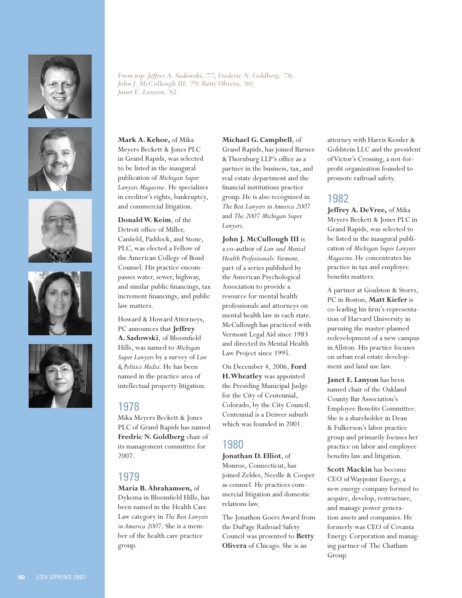

*From top: Jeffrey A. Sadowski, '77; Frederic N. Goldberg, '78; John J. McCullough III, '79; Betty Olivera, '80; Janet E. Lanyon, '82*









**Mark A. Kehoe,** of Mika Meyers Beckett & Jones PLC in Grand Rapids, was selected to be listed in the inaugural publication of *Michigan Super Lawyers Magazine*. He specializes in creditor's rights, bankruptcy, and commercial litigation.

**Donald W. Keim**, of the Detroit office of Miller, Canfield, Paddock, and Stone, PLC, was elected a Fellow of the American College of Bond Counsel. His practice encompasses water, sewer, highway, and similar public financings, tax increment financings, and public law matters.

Howard & Howard Attorneys, PC announces that **Jeffrey A. Sadowski**, of Bloomfield Hills, was named to *Michigan Super Lawyers* by a survey of *Law & Politics Media*. He has been named in the practice area of intellectual property litigation.

#### 1978

Mika Meyers Beckett & Jones PLC of Grand Rapids has named **Fredric N. Goldberg** chair of its management committee for 2007.

### 1979

**Maria B. Abrahamsen,** of Dykema in Bloomfield Hills, has been named in the Health Care Law category in *The Best Lawyers in America 2007*. She is a member of the health care practice group.

#### **Michael G. Campbell**, of

Grand Rapids, has joined Barnes & Thornburg LLP's office as a partner in the business, tax, and real estate department and the financial institutions practice group. He is also recognized in *The Best Lawyers in America 2007* and *The 2007 Michigan Super Lawyers*.

**John J. McCullough III** is a co-author of *Law and Mental Health Professionals: Vermont,* part of a series published by the American Psychological Association to provide a resource for mental health professionals and attorneys on mental health law in each state. McCullough has practiced with Vermont Legal Aid since 1983 and directed its Mental Health Law Project since 1995.

On December 4, 2006, **Ford H. Wheatley** was appointed the Presiding Municipal Judge for the City of Centennial, Colorado, by the City Council. Centennial is a Denver suburb which was founded in 2001.

### 1980

**Jonathan D. Elliot**, of Monroe, Connecticut, has joined Zeldes, Needle & Cooper as counsel. He practices commercial litigation and domestic relations law.

The Jonathon Goers Award from the DuPage Railroad Safety Council was presented to **Betty Olivera** of Chicago. She is an

attorney with Harris Kessler & Goldstein LLC and the president of Victor's Crossing, a not-forprofit organization founded to promote railroad safety.

#### 1982

**Jeffrey A. DeVree,** of Mika Meyers Beckett & Jones PLC in Grand Rapids, was selected to be listed in the inaugural publication of *Michigan Super Lawyers Magazine.* He concentrates his practice in tax and employee benefits matters.

A partner at Goulston & Storrs, PC in Boston, **Matt Kiefer** is co-leading his firm's representation of Harvard University in pursuing the master-planned redevelopment of a new campus in Allston. His practice focuses on urban real estate development and land use law.

**Janet E. Lanyon** has been named chair of the Oakland County Bar Association's Employee Benefits Committee. She is a shareholder in Dean & Fulkerson's labor practice group and primarily focuses her practice on labor and employee benefits law and litigation.

**Scott Mackin** has become CEO of Waypoint Energy, a new energy company formed to acquire, develop, restructure, and manage power generation assets and companies. He formerly was CEO of Covanta Energy Corporation and managing partner of The Chatham Group.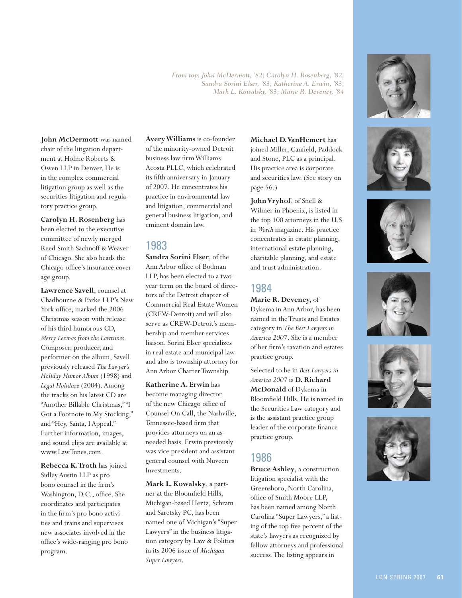*From top: John McDermott, '82; Carolyn H. Rosenberg, '82; Sandra Sorini Elser, '83; Katherine A. Erwin, '83; Mark L. Kowalsky, '83; Marie R. Deveney, '84*

**John McDermott** was named chair of the litigation department at Holme Roberts & Owen LLP in Denver. He is in the complex commercial litigation group as well as the securities litigation and regulatory practice group.

**Carolyn H. Rosenberg** has been elected to the executive committee of newly merged Reed Smith Sachnoff & Weaver of Chicago. She also heads the Chicago office's insurance coverage group.

**Lawrence Savell**, counsel at Chadbourne & Parke LLP's New York office, marked the 2006 Christmas season with release of his third humorous CD, *Merry Lexmas from the Lawtunes*. Composer, producer, and performer on the album, Savell previously released *The Lawyer's Holiday Humor Album* (1998) and *Legal Holidaze* (2004). Among the tracks on his latest CD are "Another Billable Christmas," "I Got a Footnote in My Stocking," and "Hey, Santa, I Appeal." Further information, images, and sound clips are available at www.LawTunes.com.

**Rebecca K. Troth** has joined Sidley Austin LLP as pro bono counsel in the firm's Washington, D.C., office. She coordinates and participates in the firm's pro bono activities and trains and supervises new associates involved in the office's wide-ranging pro bono program.

**Avery Williams** is co-founder of the minority-owned Detroit business law firm Williams Acosta PLLC, which celebrated its fifth anniversary in January of 2007. He concentrates his practice in environmental law and litigation, commercial and general business litigation, and eminent domain law.

### 1983

**Sandra Sorini Elser**, of the Ann Arbor office of Bodman LLP, has been elected to a twoyear term on the board of directors of the Detroit chapter of Commercial Real Estate Women (CREW-Detroit) and will also serve as CREW-Detroit's membership and member services liaison. Sorini Elser specializes in real estate and municipal law and also is township attorney for Ann Arbor Charter Township.

**Katherine A. Erwin** has become managing director of the new Chicago office of Counsel On Call, the Nashville, Tennessee-based firm that provides attorneys on an asneeded basis. Erwin previously was vice president and assistant general counsel with Nuveen Investments.

**Mark L. Kowalsky**, a partner at the Bloomfield Hills, Michigan-based Hertz, Schram and Saretsky PC, has been named one of Michigan's "Super Lawyers" in the business litigation category by Law & Politics in its 2006 issue of *Michigan Super Lawyers*.

**Michael D. VanHemert** has joined Miller, Canfield, Paddock and Stone, PLC as a principal. His practice area is corporate and securities law. (See story on page 56.)

**John Vryhof**, of Snell & Wilmer in Phoenix, is listed in the top 100 attorneys in the U.S. in *Worth* magazine. His practice concentrates in estate planning, international estate planning, charitable planning, and estate and trust administration.

### 1984

**Marie R. Deveney,** of Dykema in Ann Arbor, has been named in the Trusts and Estates category in *The Best Lawyers in America 2007*. She is a member of her firm's taxation and estates practice group.

Selected to be in *Best Lawyers in America 2007* is **D. Richard McDonald** of Dykema in Bloomfield Hills. He is named in the Securities Law category and is the assistant practice group leader of the corporate finance practice group.

#### 1986

**Bruce Ashley**, a construction litigation specialist with the Greensboro, North Carolina, office of Smith Moore LLP, has been named among North Carolina "Super Lawyers," a listing of the top five percent of the state's lawyers as recognized by fellow attorneys and professional success. The listing appears in











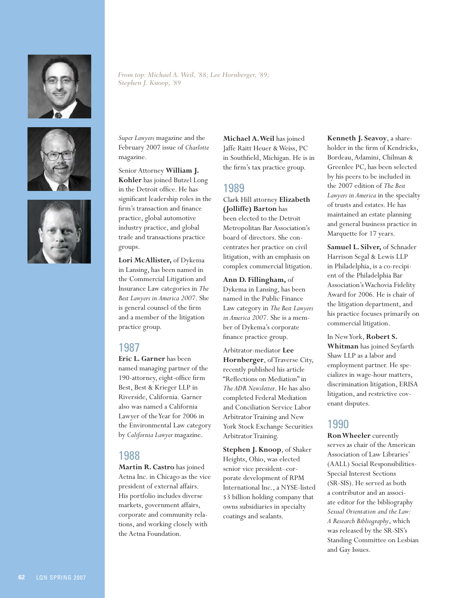

*From top: Michael A. Weil, '88; Lee Hornberger, '89; Stephen J. Knoop, '89*





*Super Lawyers* magazine and the February 2007 issue of *Charlotte* magazine.

Senior Attorney **William J. Kohler** has joined Butzel Long in the Detroit office. He has significant leadership roles in the firm's transaction and finance practice, global automotive industry practice, and global trade and transactions practice groups.

**Lori McAllister,** of Dykema in Lansing, has been named in the Commercial Litigation and Insurance Law categories in *The Best Lawyers in America 2007*. She is general counsel of the firm and a member of the litigation practice group.

#### 1987

**Eric L. Garner** has been named managing partner of the 190-attorney, eight-office firm Best, Best & Krieger LLP in Riverside, California. Garner also was named a California Lawyer of the Year for 2006 in the Environmental Law category by *California Lawyer* magazine.

#### 1988

**Martin R. Castro** has joined Aetna Inc. in Chicago as the vice president of external affairs. His portfolio includes diverse markets, government affairs, corporate and community relations, and working closely with the Aetna Foundation.

**Michael A. Weil** has joined Jaffe Raitt Heuer & Weiss, PC in Southfield, Michigan. He is in the firm's tax practice group.

### 1989

Clark Hill attorney **Elizabeth (Jolliffe) Barton** has been elected to the Detroit Metropolitan Bar Association's board of directors. She concentrates her practice on civil litigation, with an emphasis on complex commercial litigation.

**Ann D. Fillingham,** of Dykema in Lansing, has been named in the Public Finance Law category in *The Best Lawyers in America 2007*. She is a member of Dykema's corporate finance practice group.

Arbitrator-mediator **Lee Hornberger**, of Traverse City, recently published his article "Reflections on Mediation" in *The ADR Newsletter*. He has also completed Federal Mediation and Conciliation Service Labor Arbitrator Training and New York Stock Exchange Securities Arbitrator Training.

**Stephen J. Knoop**, of Shaker Heights, Ohio, was elected senior vice president–corporate development of RPM International Inc., a NYSE-listed \$3 billion holding company that owns subsidiaries in specialty coatings and sealants.

**Kenneth J. Seavoy**, a shareholder in the firm of Kendricks, Bordeau, Adamini, Chilman & Greenlee PC, has been selected by his peers to be included in the 2007 edition of *The Best Lawyers in America* in the specialty of trusts and estates. He has maintained an estate planning and general business practice in Marquette for 17 years.

**Samuel L. Silver,** of Schnader Harrison Segal & Lewis LLP in Philadelphia, is a co-recipient of the Philadelphia Bar Association's Wachovia Fidelity Award for 2006. He is chair of the litigation department, and his practice focuses primarily on commercial litigation.

In New York, **Robert S. Whitman** has joined Seyfarth Shaw LLP as a labor and employment partner. He specializes in wage-hour matters, discrimination litigation, ERISA litigation, and restrictive covenant disputes.

### 1990

**Ron Wheeler** currently serves as chair of the American Association of Law Libraries' (AALL) Social Responsibilities-Special Interest Sections (SR-SIS). He served as both a contributor and an associate editor for the bibliography *Sexual Orientation and the Law: A Research Bibliography*, which was released by the SR-SIS's Standing Committee on Lesbian and Gay Issues.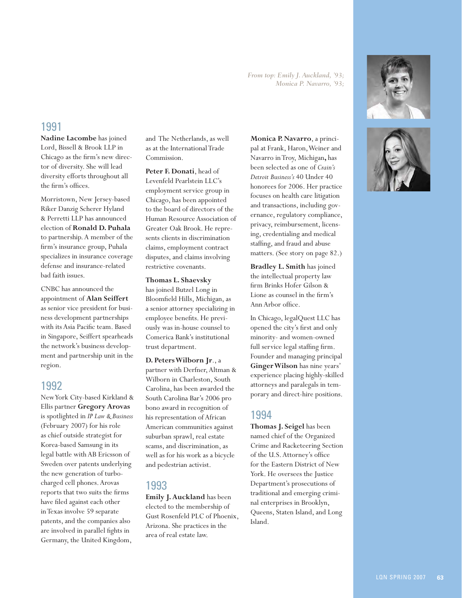LQN SPRING 2007 **63**

#### *From top: Emily J. Auckland, '93; Monica P. Navarro, '93;*

### 1991

**Nadine Lacombe** has joined Lord, Bissell & Brook LLP in Chicago as the firm's new director of diversity. She will lead diversity efforts throughout all the firm's offices.

Morristown, New Jersey-based Riker Danzig Scherer Hyland & Perretti LLP has announced election of **Ronald D. Puhala** to partnership. A member of the firm's insurance group, Puhala specializes in insurance coverage defense and insurance-related bad faith issues.

CNBC has announced the appointment of **Alan Seiffert** as senior vice president for business development partnerships with its Asia Pacific team. Based in Singapore, Seiffert spearheads the network's business development and partnership unit in the region.

#### 1992

New York City-based Kirkland & Ellis partner **Gregory Arovas** is spotlighted in *IP Law & Business* (February 2007) for his role as chief outside strategist for Korea-based Samsung in its legal battle with AB Ericsson of Sweden over patents underlying the new generation of turbocharged cell phones. Arovas reports that two suits the firms have filed against each other in Texas involve 59 separate patents, and the companies also are involved in parallel fights in Germany, the United Kingdom,

and The Netherlands, as well as at the International Trade Commission.

**Peter F. Donati**, head of Levenfeld Pearlstein LLC's employment service group in Chicago, has been appointed to the board of directors of the Human Resource Association of Greater Oak Brook. He represents clients in discrimination claims, employment contract disputes, and claims involving restrictive covenants.

**Thomas L. Shaevsky**

has joined Butzel Long in Bloomfield Hills, Michigan, as a senior attorney specializing in employee benefits. He previously was in-house counsel to Comerica Bank's institutional trust department.

**D. Peters Wilborn Jr**., a partner with Derfner, Altman & Wilborn in Charleston, South Carolina, has been awarded the South Carolina Bar's 2006 pro bono award in recognition of his representation of African American communities against suburban sprawl, real estate scams, and discrimination, as well as for his work as a bicycle and pedestrian activist.

### 1993

**Emily J. Auckland** has been elected to the membership of Gust Rosenfeld PLC of Phoenix, Arizona. She practices in the area of real estate law.

**Monica P. Navarro**, a principal at Frank, Haron, Weiner and Navarro in Troy, Michigan**,** has been selected as one of *Crain's Detroit Business's* 40 Under 40 honorees for 2006. Her practice focuses on health care litigation and transactions, including governance, regulatory compliance, privacy, reimbursement, licensing, credentialing and medical staffing, and fraud and abuse matters. (See story on page 82.)

**Bradley L. Smith** has joined the intellectual property law firm Brinks Hofer Gilson & Lione as counsel in the firm's Ann Arbor office.

In Chicago, legalQuest LLC has opened the city's first and only minority- and women-owned full service legal staffing firm. Founder and managing principal **Ginger Wilson** has nine years' experience placing highly-skilled attorneys and paralegals in temporary and direct-hire positions.

#### 1994

**Thomas J. Seigel** has been named chief of the Organized Crime and Racketeering Section of the U.S. Attorney's office for the Eastern District of New York. He oversees the Justice Department's prosecutions of traditional and emerging criminal enterprises in Brooklyn, Queens, Staten Island, and Long Island.



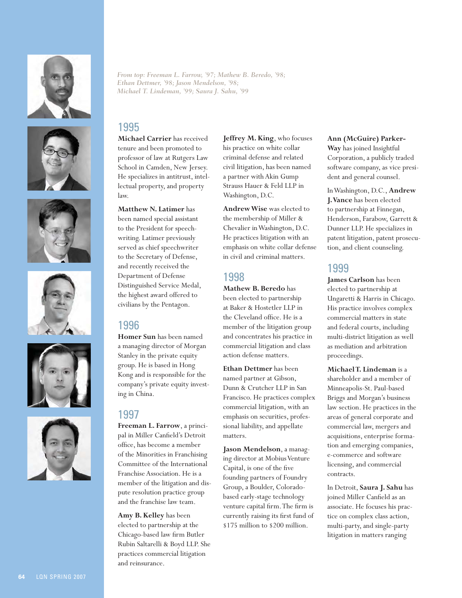











*From top: Freeman L. Farrow, '97; Mathew B. Beredo, '98; Ethan Dettmer, '98; Jason Mendelson, '98; Michael T. Lindeman, '99; Saura J. Sahu, '99*

#### 1995

**Michael Carrier** has received tenure and been promoted to professor of law at Rutgers Law School in Camden, New Jersey. He specializes in antitrust, intellectual property, and property law.

**Matthew N. Latimer** has been named special assistant to the President for speechwriting. Latimer previously served as chief speechwriter to the Secretary of Defense, and recently received the Department of Defense Distinguished Service Medal, the highest award offered to civilians by the Pentagon.

#### 1996

**Homer Sun** has been named a managing director of Morgan Stanley in the private equity group. He is based in Hong Kong and is responsible for the company's private equity investing in China.

### 1997

**Freeman L. Farrow**, a principal in Miller Canfield's Detroit office, has become a member of the Minorities in Franchising Committee of the International Franchise Association. He is a member of the litigation and dispute resolution practice group and the franchise law team.

**Amy B. Kelley** has been elected to partnership at the Chicago-based law firm Butler Rubin Saltarelli & Boyd LLP. She practices commercial litigation and reinsurance.

**Jeffrey M. King**, who focuses his practice on white collar criminal defense and related civil litigation, has been named a partner with Akin Gump Strauss Hauer & Feld LLP in Washington, D.C.

**Andrew Wise** was elected to the membership of Miller & Chevalier in Washington, D.C. He practices litigation with an emphasis on white collar defense in civil and criminal matters.

### 1998

**Mathew B. Beredo** has been elected to partnership at Baker & Hostetler LLP in the Cleveland office. He is a member of the litigation group and concentrates his practice in commercial litigation and class action defense matters.

**Ethan Dettmer** has been named partner at Gibson, Dunn & Crutcher LLP in San Francisco. He practices complex commercial litigation, with an emphasis on securities, professional liability, and appellate matters.

**Jason Mendelson**, a managing director at Mobius Venture Capital, is one of the five founding partners of Foundry Group, a Boulder, Coloradobased early-stage technology venture capital firm. The firm is currently raising its first fund of \$175 million to \$200 million.

#### **Ann (McGuire) Parker-**

**Way** has joined Insightful Corporation, a publicly traded software company, as vice president and general counsel.

In Washington, D.C., **Andrew J. Vance** has been elected to partnership at Finnegan, Henderson, Farabow, Garrett & Dunner LLP. He specializes in patent litigation, patent prosecution, and client counseling.

#### 1999

**James Carlson** has been elected to partnership at Ungaretti & Harris in Chicago. His practice involves complex commercial matters in state and federal courts, including multi-district litigation as well as mediation and arbitration proceedings.

**Michael T. Lindeman** is a shareholder and a member of Minneapolis-St. Paul-based Briggs and Morgan's business law section. He practices in the areas of general corporate and commercial law, mergers and acquisitions, enterprise formation and emerging companies, e-commerce and software licensing, and commercial contracts.

In Detroit, **Saura J. Sahu** has joined Miller Canfield as an associate. He focuses his practice on complex class action, multi-party, and single-party litigation in matters ranging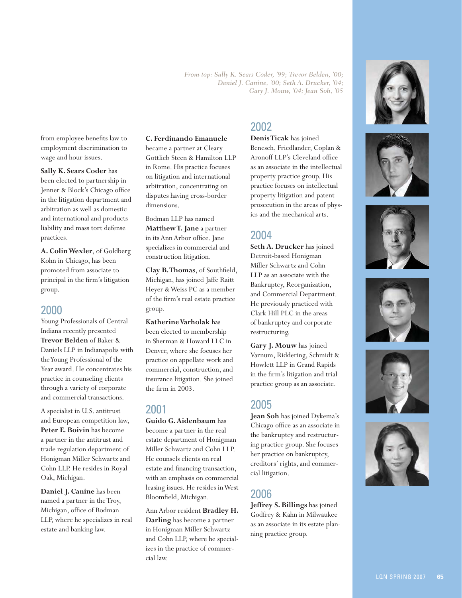*From top: Sally K. Sears Coder, '99; Trevor Belden, '00; Daniel J. Canine, '00; Seth A. Drucker, '04; Gary J. Mouw, '04; Jean Soh, '05*

from employee benefits law to employment discrimination to wage and hour issues.

#### **Sally K. Sears Coder** has been elected to partnership in Jenner & Block's Chicago office in the litigation department and arbitration as well as domestic and international and products liability and mass tort defense practices.

**A. Colin Wexler**, of Goldberg Kohn in Chicago, has been promoted from associate to principal in the firm's litigation group.

#### 2000

Young Professionals of Central Indiana recently presented **Trevor Belden** of Baker & Daniels LLP in Indianapolis with the Young Professional of the Year award. He concentrates his practice in counseling clients through a variety of corporate and commercial transactions.

A specialist in U.S. antitrust and European competition law, **Peter E. Boivin** has become a partner in the antitrust and trade regulation department of Honigman Miller Schwartz and Cohn LLP. He resides in Royal Oak, Michigan.

**Daniel J. Canine** has been named a partner in the Troy, Michigan, office of Bodman LLP, where he specializes in real estate and banking law.

#### **C. Ferdinando Emanuele**

became a partner at Cleary Gottlieb Steen & Hamilton LLP in Rome. His practice focuses on litigation and international arbitration, concentrating on disputes having cross-border dimensions.

Bodman LLP has named **Matthew T. Jane** a partner in its Ann Arbor office. Jane specializes in commercial and construction litigation.

**Clay B. Thomas**, of Southfield, Michigan, has joined Jaffe Raitt Heyer & Weiss PC as a member of the firm's real estate practice group.

**Katherine Varholak** has been elected to membership in Sherman & Howard LLC in Denver, where she focuses her practice on appellate work and commercial, construction, and insurance litigation. She joined the firm in 2003.

#### 2001

**Guido G. Aidenbaum** has become a partner in the real estate department of Honigman Miller Schwartz and Cohn LLP. He counsels clients on real estate and financing transaction, with an emphasis on commercial leasing issues. He resides in West Bloomfield, Michigan.

Ann Arbor resident **Bradley H. Darling** has become a partner in Honigman Miller Schwartz and Cohn LLP, where he specializes in the practice of commercial law.

#### 2002

**Denis Ticak** has joined Benesch, Friedlander, Coplan & Aronoff LLP's Cleveland office as an associate in the intellectual property practice group. His practice focuses on intellectual property litigation and patent prosecution in the areas of physics and the mechanical arts.

#### 2004

**Seth A. Drucker** has joined Detroit-based Honigman Miller Schwartz and Cohn LLP as an associate with the Bankruptcy, Reorganization, and Commercial Department. He previously practiced with Clark Hill PLC in the areas of bankruptcy and corporate restructuring.

**Gary J. Mouw** has joined Varnum, Riddering, Schmidt & Howlett LLP in Grand Rapids in the firm's litigation and trial practice group as an associate.

#### 2005

**Jean Soh** has joined Dykema's Chicago office as an associate in the bankruptcy and restructuring practice group. She focuses her practice on bankruptcy, creditors' rights, and commercial litigation.

### 2006

**Jeffrey S. Billings** has joined Godfrey & Kahn in Milwaukee as an associate in its estate planning practice group.











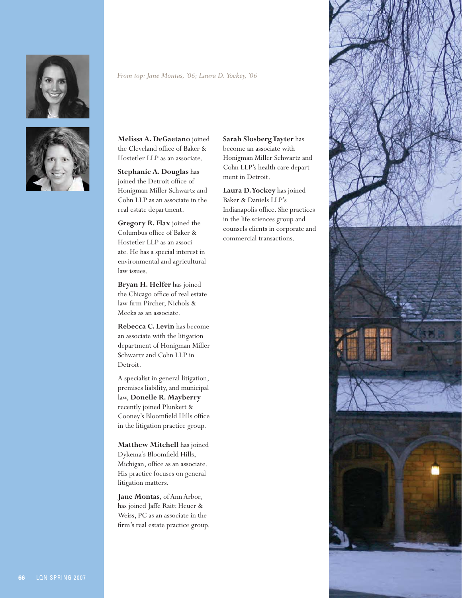



#### *From top: Jane Montas, '06; Laura D. Yockey, '06*

**Melissa A. DeGaetano** joined the Cleveland office of Baker & Hostetler LLP as an associate.

**Stephanie A. Douglas** has joined the Detroit office of Honigman Miller Schwartz and Cohn LLP as an associate in the real estate department.

**Gregory R. Flax** joined the Columbus office of Baker & Hostetler LLP as an associate. He has a special interest in environmental and agricultural law issues.

**Bryan H. Helfer** has joined the Chicago office of real estate law firm Pircher, Nichols & Meeks as an associate.

**Rebecca C. Levin** has become an associate with the litigation department of Honigman Miller Schwartz and Cohn LLP in Detroit.

A specialist in general litigation, premises liability, and municipal law, **Donelle R. Mayberry** recently joined Plunkett & Cooney's Bloomfield Hills office in the litigation practice group.

**Matthew Mitchell** has joined Dykema's Bloomfield Hills, Michigan, office as an associate. His practice focuses on general litigation matters.

**Jane Montas**, of Ann Arbor, has joined Jaffe Raitt Heuer & Weiss, PC as an associate in the firm's real estate practice group.

# **Sarah Slosberg Tayter** has

become an associate with Honigman Miller Schwartz and Cohn LLP's health care department in Detroit.

**Laura D. Yockey** has joined Baker & Daniels LLP's Indianapolis office. She practices in the life sciences group and counsels clients in corporate and commercial transactions.

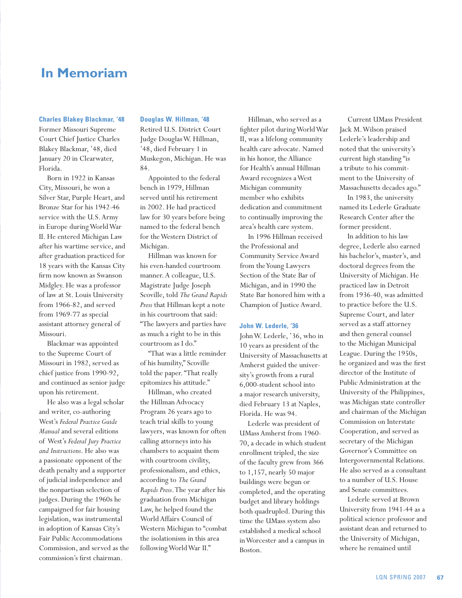## **In Memoriam**

#### **Charles Blakey Blackmar, '48**

Former Missouri Supreme Court Chief Justice Charles Blakey Blackmar, '48, died January 20 in Clearwater, Florida.

Born in 1922 in Kansas City, Missouri, he won a Silver Star, Purple Heart, and Bronze Star for his 1942-46 service with the U.S. Army in Europe during World War II. He entered Michigan Law after his wartime service, and after graduation practiced for 18 years with the Kansas City firm now known as Swanson Midgley. He was a professor of law at St. Louis University from 1966-82, and served from 1969-77 as special assistant attorney general of Missouri.

Blackmar was appointed to the Supreme Court of Missouri in 1982, served as chief justice from 1990-92, and continued as senior judge upon his retirement.

He also was a legal scholar and writer, co-authoring West's *Federal Practice Guide Manual* and several editions of West's *Federal Jury Practice and Instructions*. He also was a passionate opponent of the death penalty and a supporter of judicial independence and the nonpartisan selection of judges. During the 1960s he campaigned for fair housing legislation, was instrumental in adoption of Kansas City's Fair Public Accommodations Commission, and served as the commission's first chairman.

#### **Douglas W. Hillman, '48**

Retired U.S. District Court Judge Douglas W. Hillman, '48, died February 1 in Muskegon, Michigan. He was 84.

Appointed to the federal bench in 1979, Hillman served until his retirement in 2002. He had practiced law for 30 years before being named to the federal bench for the Western District of Michigan.

Hillman was known for his even-handed courtroom manner. A colleague, U.S. Magistrate Judge Joseph Scoville, told *The Grand Rapids Press* that Hillman kept a note in his courtroom that said: "The lawyers and parties have as much a right to be in this courtroom as I do."

"That was a little reminder of his humility," Scoville told the paper. "That really epitomizes his attitude."

Hillman, who created the Hillman Advocacy Program 26 years ago to teach trial skills to young lawyers, was known for often calling attorneys into his chambers to acquaint them with courtroom civility, professionalism, and ethics, according to *The Grand Rapids Press*. The year after his graduation from Michigan Law, he helped found the World Affairs Council of Western Michigan to "combat the isolationism in this area following World War II."

Hillman, who served as a fighter pilot during World War II, was a lifelong community health care advocate. Named in his honor, the Alliance for Health's annual Hillman Award recognizes a West Michigan community member who exhibits dedication and commitment to continually improving the area's health care system.

In 1996 Hillman received the Professional and Community Service Award from the Young Lawyers Section of the State Bar of Michigan, and in 1990 the State Bar honored him with a Champion of Justice Award.

#### **John W. Lederle, '36**

John W. Lederle, '36, who in 10 years as president of the University of Massachusetts at Amherst guided the university's growth from a rural 6,000-student school into a major research university, died February 13 at Naples, Florida. He was 94.

Lederle was president of UMass Amherst from 1960- 70, a decade in which student enrollment tripled, the size of the faculty grew from 366 to 1,157, nearly 50 major buildings were begun or completed, and the operating budget and library holdings both quadrupled. During this time the UMass system also established a medical school in Worcester and a campus in Boston.

Current UMass President Jack M. Wilson praised Lederle's leadership and noted that the university's current high standing "is a tribute to his commitment to the University of Massachusetts decades ago."

In 1983, the university named its Lederle Graduate Research Center after the former president.

In addition to his law degree, Lederle also earned his bachelor's, master's, and doctoral degrees from the University of Michigan. He practiced law in Detroit from 1936-40, was admitted to practice before the U.S. Supreme Court, and later served as a staff attorney and then general counsel to the Michigan Municipal League. During the 1950s, he organized and was the first director of the Institute of Public Administration at the University of the Philippines, was Michigan state controller and chairman of the Michigan Commission on Interstate Cooperation, and served as secretary of the Michigan Governor's Committee on Intergovernmental Relations. He also served as a consultant to a number of U.S. House and Senate committees.

Lederle served at Brown University from 1941-44 as a political science professor and assistant dean and returned to the University of Michigan, where he remained until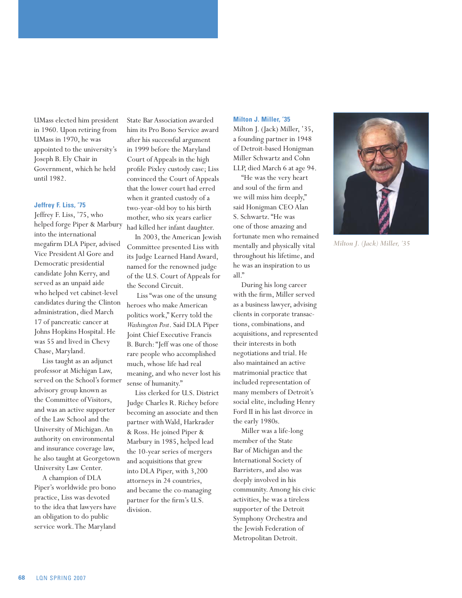UMass elected him president in 1960. Upon retiring from UMass in 1970, he was appointed to the university's Joseph B. Ely Chair in Government, which he held until 1982.

#### **Jeffrey F. Liss, '75**

Jeffrey F. Liss, '75, who helped forge Piper & Marbury into the international megafirm DLA Piper, advised Vice President Al Gore and Democratic presidential candidate John Kerry, and served as an unpaid aide who helped vet cabinet-level candidates during the Clinton administration, died March 17 of pancreatic cancer at Johns Hopkins Hospital. He was 55 and lived in Chevy Chase, Maryland.

Liss taught as an adjunct professor at Michigan Law, served on the School's former advisory group known as the Committee of Visitors, and was an active supporter of the Law School and the University of Michigan. An authority on environmental and insurance coverage law, he also taught at Georgetown University Law Center.

A champion of DLA Piper's worldwide pro bono practice, Liss was devoted to the idea that lawyers have an obligation to do public service work. The Maryland

State Bar Association awarded him its Pro Bono Service award after his successful argument in 1999 before the Maryland Court of Appeals in the high profile Pixley custody case; Liss convinced the Court of Appeals that the lower court had erred when it granted custody of a two-year-old boy to his birth mother, who six years earlier had killed her infant daughter.

In 2003, the American Jewish Committee presented Liss with its Judge Learned Hand Award, named for the renowned judge of the U.S. Court of Appeals for the Second Circuit.

 Liss "was one of the unsung heroes who make American politics work," Kerry told the *Washington Post*. Said DLA Piper Joint Chief Executive Francis B. Burch: "Jeff was one of those rare people who accomplished much, whose life had real meaning, and who never lost his sense of humanity."

Liss clerked for U.S. District Judge Charles R. Richey before becoming an associate and then partner with Wald, Harkrader & Ross. He joined Piper & Marbury in 1985, helped lead the 10-year series of mergers and acquisitions that grew into DLA Piper, with 3,200 attorneys in 24 countries, and became the co-managing partner for the firm's U.S. division.

#### **Milton J. Miller, '35**

Milton J. (Jack) Miller, '35, a founding partner in 1948 of Detroit-based Honigman Miller Schwartz and Cohn LLP, died March 6 at age 94.

"He was the very heart and soul of the firm and we will miss him deeply," said Honigman CEO Alan S. Schwartz. "He was one of those amazing and fortunate men who remained mentally and physically vital throughout his lifetime, and he was an inspiration to us all."

During his long career with the firm, Miller served as a business lawyer, advising clients in corporate transactions, combinations, and acquisitions, and represented their interests in both negotiations and trial. He also maintained an active matrimonial practice that included representation of many members of Detroit's social elite, including Henry Ford II in his last divorce in the early 1980s.

Miller was a life-long member of the State Bar of Michigan and the International Society of Barristers, and also was deeply involved in his community. Among his civic activities, he was a tireless supporter of the Detroit Symphony Orchestra and the Jewish Federation of Metropolitan Detroit.



*Milton J. (Jack) Miller, '35*